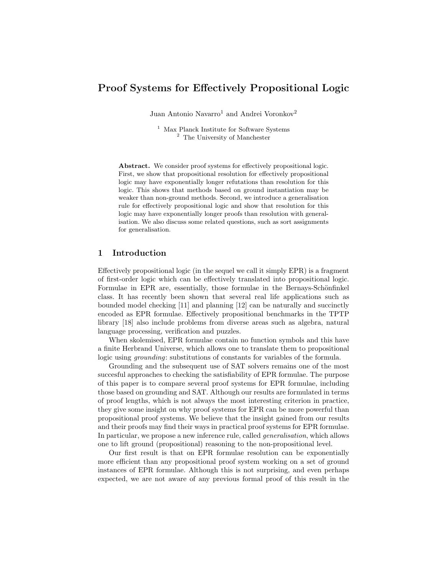# Proof Systems for Effectively Propositional Logic

Juan Antonio Navarro<sup>1</sup> and Andrei Voronkov<sup>2</sup>

<sup>1</sup> Max Planck Institute for Software Systems <sup>2</sup> The University of Manchester

Abstract. We consider proof systems for effectively propositional logic. First, we show that propositional resolution for effectively propositional logic may have exponentially longer refutations than resolution for this logic. This shows that methods based on ground instantiation may be weaker than non-ground methods. Second, we introduce a generalisation rule for effectively propositional logic and show that resolution for this logic may have exponentially longer proofs than resolution with generalisation. We also discuss some related questions, such as sort assignments for generalisation.

### 1 Introduction

Effectively propositional logic (in the sequel we call it simply EPR) is a fragment of first-order logic which can be effectively translated into propositional logic. Formulae in EPR are, essentially, those formulae in the Bernays-Schönfinkel class. It has recently been shown that several real life applications such as bounded model checking [11] and planning [12] can be naturally and succinctly encoded as EPR formulae. Effectively propositional benchmarks in the TPTP library [18] also include problems from diverse areas such as algebra, natural language processing, verification and puzzles.

When skolemised, EPR formulae contain no function symbols and this have a finite Herbrand Universe, which allows one to translate them to propositional logic using grounding: substitutions of constants for variables of the formula.

Grounding and the subsequent use of SAT solvers remains one of the most succesful approaches to checking the satisfiability of EPR formulae. The purpose of this paper is to compare several proof systems for EPR formulae, including those based on grounding and SAT. Although our results are formulated in terms of proof lengths, which is not always the most interesting criterion in practice, they give some insight on why proof systems for EPR can be more powerful than propositional proof systems. We believe that the insight gained from our results and their proofs may find their ways in practical proof systems for EPR formulae. In particular, we propose a new inference rule, called generalisation, which allows one to lift ground (propositional) reasoning to the non-propositional level.

Our first result is that on EPR formulae resolution can be exponentially more efficient than any propositional proof system working on a set of ground instances of EPR formulae. Although this is not surprising, and even perhaps expected, we are not aware of any previous formal proof of this result in the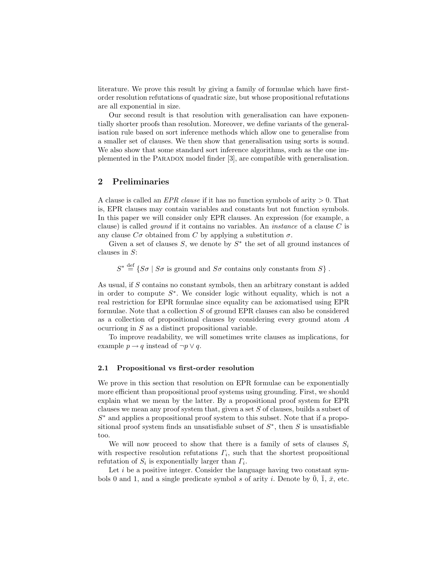literature. We prove this result by giving a family of formulae which have firstorder resolution refutations of quadratic size, but whose propositional refutations are all exponential in size.

Our second result is that resolution with generalisation can have exponentially shorter proofs than resolution. Moreover, we define variants of the generalisation rule based on sort inference methods which allow one to generalise from a smaller set of clauses. We then show that generalisation using sorts is sound. We also show that some standard sort inference algorithms, such as the one implemented in the Paradox model finder [3], are compatible with generalisation.

## 2 Preliminaries

A clause is called an *EPR clause* if it has no function symbols of arity  $> 0$ . That is, EPR clauses may contain variables and constants but not function symbols. In this paper we will consider only EPR clauses. An expression (for example, a clause) is called *ground* if it contains no variables. An *instance* of a clause  $C$  is any clause  $C\sigma$  obtained from C by applying a substitution  $\sigma$ .

Given a set of clauses  $S$ , we denote by  $S^*$  the set of all ground instances of clauses in S:

 $S^* \stackrel{\text{def}}{=} \{ S\sigma \mid S\sigma \text{ is ground and } S\sigma \text{ contains only constants from } S \}.$ 

As usual, if S contains no constant symbols, then an arbitrary constant is added in order to compute  $S^*$ . We consider logic without equality, which is not a real restriction for EPR formulae since equality can be axiomatised using EPR formulae. Note that a collection  $S$  of ground EPR clauses can also be considered as a collection of propositional clauses by considering every ground atom A ocurriong in S as a distinct propositional variable.

To improve readability, we will sometimes write clauses as implications, for example  $p \rightarrow q$  instead of  $\neg p \lor q$ .

#### 2.1 Propositional vs first-order resolution

We prove in this section that resolution on EPR formulae can be exponentially more efficient than propositional proof systems using grounding. First, we should explain what we mean by the latter. By a propositional proof system for EPR clauses we mean any proof system that, given a set S of clauses, builds a subset of  $S<sup>*</sup>$  and applies a propositional proof system to this subset. Note that if a propositional proof system finds an unsatisfiable subset of  $S^*$ , then S is unsatisfiable too.

We will now proceed to show that there is a family of sets of clauses  $S_i$ with respective resolution refutations  $\Gamma_i$ , such that the shortest propositional refutation of  $S_i$  is exponentially larger than  $\Gamma_i$ .

Let  $i$  be a positive integer. Consider the language having two constant symbols 0 and 1, and a single predicate symbol s of arity i. Denote by  $\overline{0}$ ,  $\overline{1}$ ,  $\overline{x}$ , etc.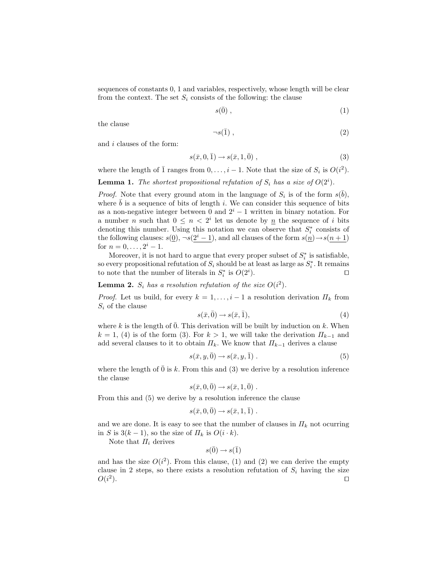sequences of constants 0, 1 and variables, respectively, whose length will be clear from the context. The set  $S_i$  consists of the following: the clause

$$
s(\bar{0}), \qquad \qquad (1)
$$

the clause

$$
\neg s(\bar{1}),\tag{2}
$$

and i clauses of the form:

$$
s(\bar{x}, 0, \bar{1}) \rightarrow s(\bar{x}, 1, \bar{0}), \qquad (3)
$$

where the length of  $\overline{1}$  ranges from  $0, \ldots, i - 1$ . Note that the size of  $S_i$  is  $O(i^2)$ .

**Lemma 1.** The shortest propositional refutation of  $S_i$  has a size of  $O(2^i)$ .

*Proof.* Note that every ground atom in the language of  $S_i$  is of the form  $s(\bar{b})$ , where  $\bar{b}$  is a sequence of bits of length i. We can consider this sequence of bits as a non-negative integer between 0 and  $2^{i} - 1$  written in binary notation. For a number *n* such that  $0 \leq n < 2^i$  let us denote by <u>*n*</u> the sequence of *i* bits denoting this number. Using this notation we can observe that  $S_i^*$  consists of the following clauses:  $s(0)$ ,  $\neg s(2^{i} - 1)$ , and all clauses of the form  $s(n) \rightarrow s(n + 1)$ for  $n = 0, \ldots, 2^i - 1$ .

Moreover, it is not hard to argue that every proper subset of  $S_i^*$  is satisfiable, so every propositional refutation of  $S_i$  should be at least as large as  $S_i^*$ . It remains to note that the number of literals in  $S_i^*$  is  $O(2<sup>i</sup>)$ ).  $\qquad \qquad \Box$ 

**Lemma 2.**  $S_i$  has a resolution refutation of the size  $O(i^2)$ .

*Proof.* Let us build, for every  $k = 1, ..., i - 1$  a resolution derivation  $\Pi_k$  from  $S_i$  of the clause

$$
s(\bar{x}, \bar{0}) \to s(\bar{x}, \bar{1}), \tag{4}
$$

where k is the length of  $\overline{0}$ . This derivation will be built by induction on k. When  $k = 1$ , (4) is of the form (3). For  $k > 1$ , we will take the derivation  $\Pi_{k-1}$  and add several clauses to it to obtain  $\Pi_k$ . We know that  $\Pi_{k-1}$  derives a clause

$$
s(\bar{x}, y, \bar{0}) \to s(\bar{x}, y, \bar{1}) . \tag{5}
$$

where the length of 0 is k. From this and  $(3)$  we derive by a resolution inference the clause

$$
s(\bar{x},0,\bar{0})\to s(\bar{x},1,\bar{0})
$$
.

From this and (5) we derive by a resolution inference the clause

$$
s(\bar{x},0,\bar{0}) \to s(\bar{x},1,\bar{1}) .
$$

and we are done. It is easy to see that the number of clauses in  $\Pi_k$  not ocurring in S is  $3(k-1)$ , so the size of  $\Pi_k$  is  $O(i \cdot k)$ .

Note that  $\Pi_i$  derives

 $s(\overline{0}) \rightarrow s(\overline{1})$ 

and has the size  $O(i^2)$ . From this clause, (1) and (2) we can derive the empty clause in 2 steps, so there exists a resolution refutation of  $S_i$  having the size  $O(i^2)$ ).  $\Box$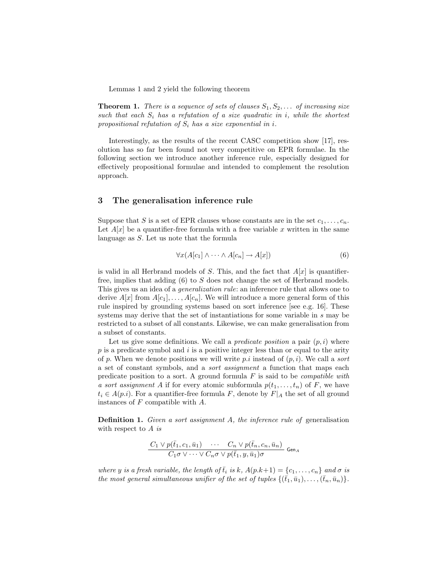Lemmas 1 and 2 yield the following theorem

**Theorem 1.** There is a sequence of sets of clauses  $S_1, S_2, \ldots$  of increasing size such that each  $S_i$  has a refutation of a size quadratic in i, while the shortest propositional refutation of  $S_i$  has a size exponential in i.

Interestingly, as the results of the recent CASC competition show [17], resolution has so far been found not very competitive on EPR formulae. In the following section we introduce another inference rule, especially designed for effectively propositional formulae and intended to complement the resolution approach.

#### 3 The generalisation inference rule

Suppose that S is a set of EPR clauses whose constants are in the set  $c_1, \ldots, c_n$ . Let  $A[x]$  be a quantifier-free formula with a free variable x written in the same language as S. Let us note that the formula

$$
\forall x (A[c_1] \land \cdots \land A[c_n] \to A[x]) \tag{6}
$$

is valid in all Herbrand models of S. This, and the fact that  $A[x]$  is quantifierfree, implies that adding (6) to S does not change the set of Herbrand models. This gives us an idea of a generalization rule: an inference rule that allows one to derive  $A[x]$  from  $A[c_1], \ldots, A[c_n]$ . We will introduce a more general form of this rule inspired by grounding systems based on sort inference [see e.g. 16]. These systems may derive that the set of instantiations for some variable in s may be restricted to a subset of all constants. Likewise, we can make generalisation from a subset of constants.

Let us give some definitions. We call a *predicate position* a pair  $(p, i)$  where  $p$  is a predicate symbol and  $i$  is a positive integer less than or equal to the arity of p. When we denote positions we will write p.i instead of  $(p, i)$ . We call a sort a set of constant symbols, and a sort assignment a function that maps each predicate position to a sort. A ground formula  $F$  is said to be *compatible with* a sort assignment A if for every atomic subformula  $p(t_1, \ldots, t_n)$  of F, we have  $t_i \in A(p.i)$ . For a quantifier-free formula F, denote by  $F|_A$  the set of all ground instances of  $F$  compatible with  $A$ .

Definition 1. Given a sort assignment A, the inference rule of generalisation with respect to A is

$$
\frac{C_1 \vee p(\bar{t}_1,c_1,\bar{u}_1) \cdots C_n \vee p(\bar{t}_n,c_n,\bar{u}_n)}{C_1 \sigma \vee \cdots \vee C_n \sigma \vee p(\bar{t}_1,y,\bar{u}_1) \sigma} \text{ Gen}_A
$$

where y is a fresh variable, the length of  $\bar{t}_i$  is k,  $A(p.k+1) = \{c_1, \ldots, c_n\}$  and  $\sigma$  is the most general simultaneous unifier of the set of tuples  $\{(\bar{t}_1, \bar{u}_1), \ldots, (\bar{t}_n, \bar{u}_n)\}.$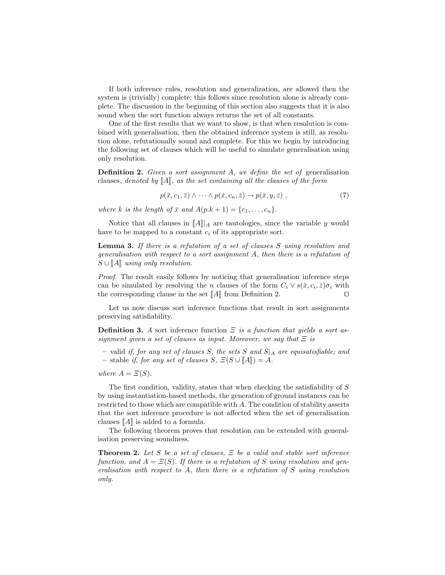If both inference rules, resolution and generalization, are allowed then the system is (trivially) complete; this follows since resolution alone is already complete. The discussion in the beginning of this section also suggests that it is also sound when the sort function always returns the set of all constants.

One of the first results that we want to show, is that when resolution is combined with generalisation, then the obtained inference system is still, as resolution alone, refutationally sound and complete. For this we begin by introducing the following set of clauses which will be useful to simulate generalisation using only resolution.

Definition 2. Given a sort assignment A, we define the set of generalisation clauses, denoted by  $\llbracket A \rrbracket$ , as the set containing all the clauses of the form

$$
p(\bar{x}, c_1, \bar{z}) \wedge \cdots \wedge p(\bar{x}, c_n, \bar{z}) \rightarrow p(\bar{x}, y, \bar{z}) , \qquad (7)
$$

where k is the length of  $\bar{x}$  and  $A(p.k + 1) = \{c_1, \ldots, c_n\}.$ 

Notice that all clauses in  $\llbracket A \rrbracket_A$  are tautologies, since the variable y would have to be mapped to a constant  $c_i$  of its appropriate sort.

Lemma 3. If there is a refutation of a set of clauses S using resolution and generalisation with respect to a sort assignment A, then there is a refutation of  $S \cup \llbracket A \rrbracket$  using only resolution.

Proof. The result easily follows by noticing that generalisation inference steps can be simulated by resolving the n clauses of the form  $C_i \vee s(\bar{x}, c_i, \bar{z})\sigma_i$  with the corresponding clause in the set  $\llbracket A \rrbracket$  from Definition 2.

Let us now discuss sort inference functions that result in sort assignments preserving satisfiability.

**Definition 3.** A sort inference function  $\Xi$  is a function that yields a sort assignment given a set of clauses as input. Moreover, we say that  $\Xi$  is

– valid if, for any set of clauses S, the sets S and  $S|_A$  are equisatisfiable; and – stable if, for any set of clauses  $S, \Xi(S \cup [A]) = A$ .

where  $A = \Xi(S)$ .

The first condition, validity, states that when checking the satisfiability of S by using instantiation-based methods, the generation of ground instances can be restricted to those which are compatible with A. The condition of stability asserts that the sort inference procedure is not affected when the set of generalisation clauses  $\llbracket A \rrbracket$  is added to a formula.

The following theorem proves that resolution can be extended with generalisation preserving soundness.

**Theorem 2.** Let S be a set of clauses,  $\Xi$  be a valid and stable sort inference function, and  $A = \Xi(S)$ . If there is a refutation of S using resolution and generalisation with respect to A, then there is a refutation of S using resolution only.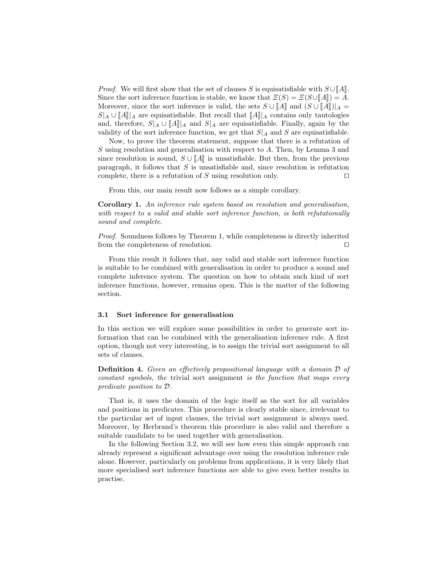*Proof.* We will first show that the set of clauses S is equisatisfiable with  $S \cup \llbracket A \rrbracket$ . Since the sort inference function is stable, we know that  $\Xi(S) = \Xi(S \cup [A]) = A$ . Moreover, since the sort inference is valid, the sets  $S \cup [A]$  and  $(S \cup [A])|_A =$  $S_A \cup [A] \parallel_A$  are equisatisfiable. But recall that  $[A] \parallel_A$  contains only tautologies and, therefore,  $S_A \cup [A] \cup [A]$  and  $S_A$  are equisatisfiable. Finally, again by the validity of the sort inference function, we get that  $S|_A$  and S are equisatisfiable.

Now, to prove the theorem statement, suppose that there is a refutation of S using resolution and generalisation with respect to A. Then, by Lemma 3 and since resolution is sound,  $S \cup [A]$  is unsatisfiable. But then, from the previous paragraph, it follows that  $S$  is unsatisfiable and, since resolution is refutation complete, there is a refutation of S using resolution only.  $\Box$ 

From this, our main result now follows as a simple corollary.

Corollary 1. An inference rule system based on resolution and generalisation, with respect to a valid and stable sort inference function, is both refutationally sound and complete.

Proof. Soundness follows by Theorem 1, while completeness is directly inherited from the completeness of resolution.  $\Box$ 

From this result it follows that, any valid and stable sort inference function is suitable to be combined with generalisation in order to produce a sound and complete inference system. The question on how to obtain such kind of sort inference functions, however, remains open. This is the matter of the following section.

#### 3.1 Sort inference for generalisation

In this section we will explore some possibilities in order to generate sort information that can be combined with the generalisation inference rule. A first option, though not very interesting, is to assign the trivial sort assignment to all sets of clauses.

Definition 4. Given an effectively propositional language with a domain D of constant symbols, the trivial sort assignment is the function that maps every predicate position to D.

That is, it uses the domain of the logic itself as the sort for all variables and positions in predicates. This procedure is clearly stable since, irrelevant to the particular set of input clauses, the trivial sort assignment is always used. Moreover, by Herbrand's theorem this procedure is also valid and therefore a suitable candidate to be used together with generalisation.

In the following Section 3.2, we will see how even this simple approach can already represent a significant advantage over using the resolution inference rule alone. However, particularly on problems from applications, it is very likely that more specialised sort inference functions are able to give even better results in practise.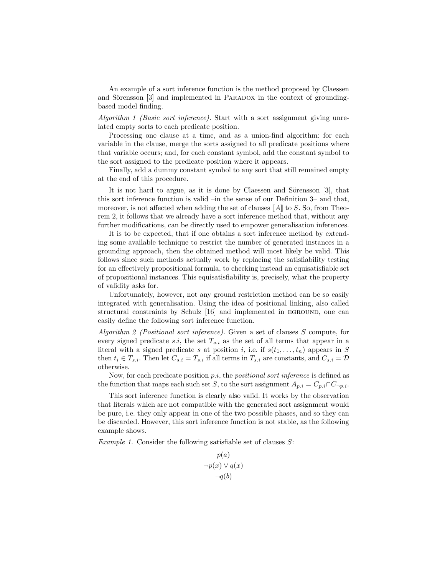An example of a sort inference function is the method proposed by Claessen and Sörensson  $\lceil 3 \rceil$  and implemented in PARADOX in the context of groundingbased model finding.

Algorithm 1 (Basic sort inference). Start with a sort assignment giving unrelated empty sorts to each predicate position.

Processing one clause at a time, and as a union-find algorithm: for each variable in the clause, merge the sorts assigned to all predicate positions where that variable occurs; and, for each constant symbol, add the constant symbol to the sort assigned to the predicate position where it appears.

Finally, add a dummy constant symbol to any sort that still remained empty at the end of this procedure.

It is not hard to argue, as it is done by Claessen and Sörensson  $[3]$ , that this sort inference function is valid –in the sense of our Definition 3– and that, moreover, is not affected when adding the set of clauses  $\llbracket A \rrbracket$  to S. So, from Theorem 2, it follows that we already have a sort inference method that, without any further modifications, can be directly used to empower generalisation inferences.

It is to be expected, that if one obtains a sort inference method by extending some available technique to restrict the number of generated instances in a grounding approach, then the obtained method will most likely be valid. This follows since such methods actually work by replacing the satisfiability testing for an effectively propositional formula, to checking instead an equisatisfiable set of propositional instances. This equisatisfiability is, precisely, what the property of validity asks for.

Unfortunately, however, not any ground restriction method can be so easily integrated with generalisation. Using the idea of positional linking, also called structural constraints by Schulz [16] and implemented in EGROUND, one can easily define the following sort inference function.

Algorithm 2 (Positional sort inference). Given a set of clauses S compute, for every signed predicate s.i, the set  $T_{s,i}$  as the set of all terms that appear in a literal with a signed predicate s at position i, i.e. if  $s(t_1, \ldots, t_n)$  appears in S then  $t_i \in T_{s,i}$ . Then let  $C_{s,i} = T_{s,i}$  if all terms in  $T_{s,i}$  are constants, and  $C_{s,i} = \mathcal{D}$ otherwise.

Now, for each predicate position  $p.i$ , the *positional sort inference* is defined as the function that maps each such set S, to the sort assignment  $A_{p,i} = C_{p,i} \cap C_{\neg p,i}$ .

This sort inference function is clearly also valid. It works by the observation that literals which are not compatible with the generated sort assignment would be pure, i.e. they only appear in one of the two possible phases, and so they can be discarded. However, this sort inference function is not stable, as the following example shows.

Example 1. Consider the following satisfiable set of clauses  $S$ :

$$
p(a)
$$
  

$$
\neg p(x) \lor q(x)
$$
  

$$
\neg q(b)
$$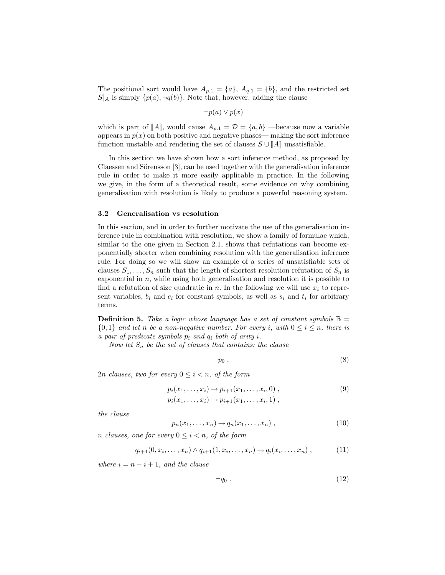The positional sort would have  $A_{p,1} = \{a\}, A_{q,1} = \{b\}$ , and the restricted set  $S|_A$  is simply  $\{p(a), \neg q(b)\}.$  Note that, however, adding the clause

$$
\neg p(a) \lor p(x)
$$

which is part of  $\llbracket A \rrbracket$ , would cause  $A_{p,1} = \mathcal{D} = \{a, b\}$  —because now a variable appears in  $p(x)$  on both positive and negative phases— making the sort inference function unstable and rendering the set of clauses  $S \cup \llbracket A \rrbracket$  unsatisfiable.

In this section we have shown how a sort inference method, as proposed by Claessen and Sörensson  $[3]$ , can be used together with the generalisation inference rule in order to make it more easily applicable in practice. In the following we give, in the form of a theoretical result, some evidence on why combining generalisation with resolution is likely to produce a powerful reasoning system.

#### 3.2 Generalisation vs resolution

In this section, and in order to further motivate the use of the generalisation inference rule in combination with resolution, we show a family of formulae which, similar to the one given in Section 2.1, shows that refutations can become exponentially shorter when combining resolution with the generalisation inference rule. For doing so we will show an example of a series of unsatisfiable sets of clauses  $S_1, \ldots, S_n$  such that the length of shortest resolution refutation of  $S_n$  is exponential in  $n$ , while using both generalisation and resolution it is possible to find a refutation of size quadratic in n. In the following we will use  $x_i$  to represent variables,  $b_i$  and  $c_i$  for constant symbols, as well as  $s_i$  and  $t_i$  for arbitrary terms.

**Definition 5.** Take a logic whose language has a set of constant symbols  $\mathbb{B} =$  ${0,1}$  and let n be a non-negative number. For every i, with  $0 \le i \le n$ , there is a pair of predicate symbols  $p_i$  and  $q_i$  both of arity i.

Now let  $S_n$  be the set of clauses that contains: the clause

$$
p_0, \t\t(8)
$$

2n clauses, two for every  $0 \leq i \leq n$ , of the form

$$
p_i(x_1, ..., x_i) \to p_{i+1}(x_1, ..., x_i, 0),
$$
  
\n
$$
p_i(x_1, ..., x_i) \to p_{i+1}(x_1, ..., x_i, 1),
$$
\n(9)

the clause

$$
p_n(x_1,\ldots,x_n)\to q_n(x_1,\ldots,x_n)\,,\tag{10}
$$

n clauses, one for every  $0 \leq i \leq n$ , of the form

$$
q_{i+1}(0, x_1, \ldots, x_n) \wedge q_{i+1}(1, x_1, \ldots, x_n) \to q_i(x_1, \ldots, x_n) , \qquad (11)
$$

where  $i = n - i + 1$ , and the clause

$$
\neg q_0 . \tag{12}
$$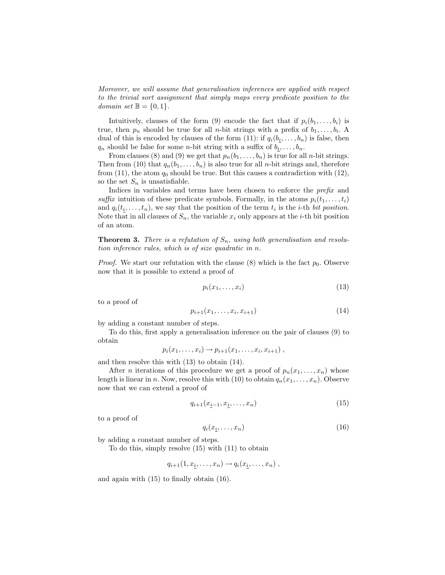Moreover, we will assume that generalisation inferences are applied with respect to the trivial sort assignment that simply maps every predicate position to the domain set  $\mathbb{B} = \{0, 1\}.$ 

Intuitively, clauses of the form (9) encode the fact that if  $p_i(b_1, \ldots, b_i)$  is true, then  $p_n$  should be true for all *n*-bit strings with a prefix of  $b_1, \ldots, b_i$ . A dual of this is encoded by clauses of the form  $(11)$ : if  $q_i(b_1, \ldots, b_n)$  is false, then  $q_n$  should be false for some *n*-bit string with a suffix of  $b_i, \ldots, b_n$ .

From clauses (8) and (9) we get that  $p_n(b_1, \ldots, b_n)$  is true for all *n*-bit strings. Then from (10) that  $q_n(b_1, \ldots, b_n)$  is also true for all *n*-bit strings and, therefore from (11), the atom  $q_0$  should be true. But this causes a contradiction with (12), so the set  $S_n$  is unsatisfiable.

Indices in variables and terms have been chosen to enforce the prefix and suffix intuition of these predicate symbols. Formally, in the atoms  $p_i(t_1, \ldots, t_i)$ and  $q_i(t_1, \ldots, t_n)$ , we say that the position of the term  $t_i$  is the *i*-th *bit position*. Note that in all clauses of  $S_n$ , the variable  $x_i$  only appears at the *i*-th bit position of an atom.

**Theorem 3.** There is a refutation of  $S_n$ , using both generalisation and resolution inference rules, which is of size quadratic in n.

*Proof.* We start our refutation with the clause  $(8)$  which is the fact  $p_0$ . Observe now that it is possible to extend a proof of

$$
p_i(x_1,\ldots,x_i) \tag{13}
$$

to a proof of

$$
p_{i+1}(x_1, \ldots, x_i, x_{i+1}) \tag{14}
$$

by adding a constant number of steps.

To do this, first apply a generalisation inference on the pair of clauses (9) to obtain

$$
p_i(x_1,...,x_i) \to p_{i+1}(x_1,...,x_i,x_{i+1})
$$
,

and then resolve this with (13) to obtain (14).

After *n* iterations of this procedure we get a proof of  $p_n(x_1, \ldots, x_n)$  whose length is linear in n. Now, resolve this with (10) to obtain  $q_n(x_1, \ldots, x_n)$ . Observe now that we can extend a proof of

$$
q_{i+1}(x_{i-1}, x_i, \dots, x_n) \tag{15}
$$

to a proof of

$$
q_i(x_{\underline{i}},\ldots,x_n) \tag{16}
$$

by adding a constant number of steps.

To do this, simply resolve (15) with (11) to obtain

$$
q_{i+1}(1, x_i, \ldots, x_n) \rightarrow q_i(x_i, \ldots, x_n) ,
$$

and again with (15) to finally obtain (16).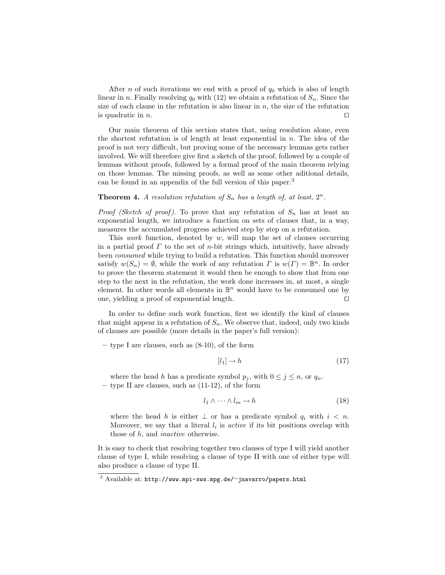After n of such iterations we end with a proof of  $q_0$  which is also of length linear in n. Finally resolving  $q_0$  with (12) we obtain a refutation of  $S_n$ . Since the size of each clause in the refutation is also linear in  $n$ , the size of the refutation is quadratic in  $n$ .

Our main theorem of this section states that, using resolution alone, even the shortest refutation is of length at least exponential in  $n$ . The idea of the proof is not very difficult, but proving some of the necessary lemmas gets rather involved. We will therefore give first a sketch of the proof, followed by a couple of lemmas without proofs, followed by a formal proof of the main theorem relying on those lemmas. The missing proofs, as well as some other aditional details, can be found in an appendix of the full version of this paper.<sup>3</sup>

## **Theorem 4.** A resolution refutation of  $S_n$  has a length of, at least,  $2^n$ .

*Proof (Sketch of proof)*. To prove that any refutation of  $S_n$  has at least an exponential length, we introduce a function on sets of clauses that, in a way, measures the accumulated progress achieved step by step on a refutation.

This work function, denoted by  $w$ , will map the set of clauses occurring in a partial proof  $\Gamma$  to the set of *n*-bit strings which, intuitively, have already been consumed while trying to build a refutation. This function should moreover satisfy  $w(S_n) = \emptyset$ , while the work of any refutation  $\Gamma$  is  $w(\Gamma) = \mathbb{B}^n$ . In order to prove the theorem statement it would then be enough to show that from one step to the next in the refutation, the work done increases in, at most, a single element. In other words all elements in  $\mathbb{B}^n$  would have to be consumed one by one, yielding a proof of exponential length.  $\Box$ 

In order to define such work function, first we identify the kind of clauses that might appear in a refutation of  $S_n$ . We observe that, indeed, only two kinds of clauses are possible (more details in the paper's full version):

– type I are clauses, such as (8-10), of the form

$$
[l_1] \to h \tag{17}
$$

where the head h has a predicate symbol  $p_i$ , with  $0 \leq j \leq n$ , or  $q_n$ . – type II are clauses, such as (11-12), of the form

$$
l_1 \wedge \dots \wedge l_m \to h \tag{18}
$$

where the head h is either  $\perp$  or has a predicate symbol  $q_i$  with  $i < n$ . Moreover, we say that a literal  $l_i$  is *active* if its bit positions overlap with those of h, and inactive otherwise.

It is easy to check that resolving together two clauses of type I will yield another clause of type I, while resolving a clause of type II with one of either type will also produce a clause of type II.

<sup>3</sup> Available at: http://www.mpi-sws.mpg.de/<sup>∼</sup>jnavarro/papers.html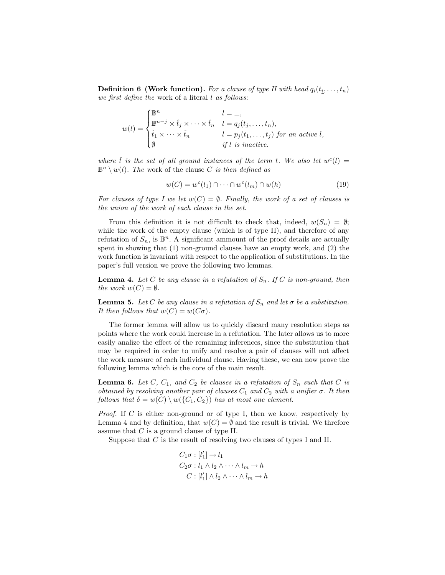**Definition 6 (Work function).** For a clause of type II with head  $q_i(t_1, \ldots, t_n)$ we first define the work of a literal  $l$  as follows:

$$
w(l) = \begin{cases} \mathbb{B}^n & l = \bot, \\ \mathbb{B}^{n-j} \times \hat{t}_j \times \cdots \times \hat{t}_n & l = q_j(t_j, \dots, t_n), \\ \hat{t}_1 \times \cdots \times \hat{t}_n & l = p_j(t_1, \dots, t_j) \text{ for an active } l, \\ \emptyset & \text{if } l \text{ is inactive.} \end{cases}
$$

where  $\hat{t}$  is the set of all ground instances of the term t. We also let  $w^{c}(l)$  =  $\mathbb{B}^n \setminus w(l)$ . The work of the clause C is then defined as

$$
w(C) = w^{c}(l_1) \cap \dots \cap w^{c}(l_m) \cap w(h)
$$
\n
$$
(19)
$$

For clauses of type I we let  $w(C) = \emptyset$ . Finally, the work of a set of clauses is the union of the work of each clause in the set.

From this definition it is not difficult to check that, indeed,  $w(S_n) = \emptyset$ ; while the work of the empty clause (which is of type II), and therefore of any refutation of  $S_n$ , is  $\mathbb{B}^n$ . A significant ammount of the proof details are actually spent in showing that (1) non-ground clauses have an empty work, and (2) the work function is invariant with respect to the application of substitutions. In the paper's full version we prove the following two lemmas.

**Lemma 4.** Let C be any clause in a refutation of  $S_n$ . If C is non-ground, then the work  $w(C) = \emptyset$ .

**Lemma 5.** Let C be any clause in a refutation of  $S_n$  and let  $\sigma$  be a substitution. It then follows that  $w(C) = w(C\sigma)$ .

The former lemma will allow us to quickly discard many resolution steps as points where the work could increase in a refutation. The later allows us to more easily analize the effect of the remaining inferences, since the substitution that may be required in order to unify and resolve a pair of clauses will not affect the work measure of each individual clause. Having these, we can now prove the following lemma which is the core of the main result.

**Lemma 6.** Let C,  $C_1$ , and  $C_2$  be clauses in a refutation of  $S_n$  such that C is obtained by resolving another pair of clauses  $C_1$  and  $C_2$  with a unifier  $\sigma$ . It then follows that  $\delta = w(C) \setminus w({C_1, C_2})$  has at most one element.

*Proof.* If C is either non-ground or of type I, then we know, respectively by Lemma 4 and by definition, that  $w(C) = \emptyset$  and the result is trivial. We threfore assume that C is a ground clause of type II.

Suppose that  $C$  is the result of resolving two clauses of types I and II.

$$
C_1 \sigma : [l'_1] \to l_1
$$
  
\n
$$
C_2 \sigma : l_1 \wedge l_2 \wedge \cdots \wedge l_m \to h
$$
  
\n
$$
C : [l'_1] \wedge l_2 \wedge \cdots \wedge l_m \to h
$$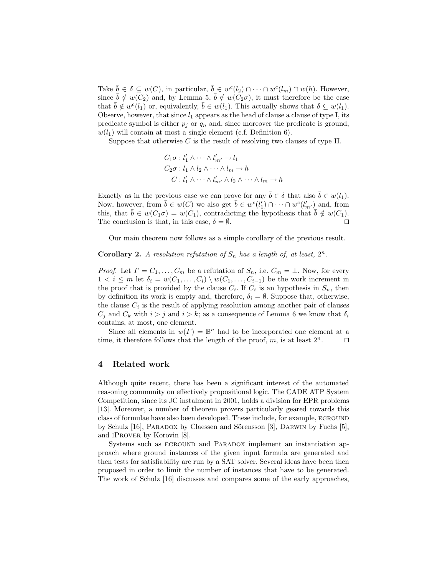Take  $\bar{b} \in \delta \subseteq w(C)$ , in particular,  $\bar{b} \in w^c(l_2) \cap \cdots \cap w^c(l_m) \cap w(h)$ . However, since  $\bar{b} \notin w(C_2)$  and, by Lemma 5,  $\bar{b} \notin w(C_2\sigma)$ , it must therefore be the case that  $\bar{b} \notin w^c(l_1)$  or, equivalently,  $\bar{b} \in w(l_1)$ . This actually shows that  $\delta \subseteq w(l_1)$ . Observe, however, that since  $l_1$  appears as the head of clause a clause of type I, its predicate symbol is either  $p_i$  or  $q_n$  and, since moreover the predicate is ground,  $w(l_1)$  will contain at most a single element (c.f. Definition 6).

Suppose that otherwise  $C$  is the result of resolving two clauses of type II.

$$
C_1 \sigma : l'_1 \wedge \cdots \wedge l'_{m'} \to l_1
$$
  
\n
$$
C_2 \sigma : l_1 \wedge l_2 \wedge \cdots \wedge l_m \to h
$$
  
\n
$$
C : l'_1 \wedge \cdots \wedge l'_{m'} \wedge l_2 \wedge \cdots \wedge l_m \to h
$$

Exactly as in the previous case we can prove for any  $\bar{b} \in \delta$  that also  $\bar{b} \in w(l_1)$ . Now, however, from  $\bar{b} \in w(C)$  we also get  $\bar{b} \in w^{c}(l'_{1}) \cap \cdots \cap w^{c}(l'_{m'})$  and, from this, that  $\bar{b} \in w(C_1\sigma) = w(C_1)$ , contradicting the hypothesis that  $\bar{b} \notin w(C_1)$ . The conclusion is that, in this case,  $\delta = \emptyset$ .

Our main theorem now follows as a simple corollary of the previous result.

**Corollary 2.** A resolution refutation of  $S_n$  has a length of, at least,  $2^n$ .

*Proof.* Let  $\Gamma = C_1, \ldots, C_m$  be a refutation of  $S_n$ , i.e.  $C_m = \perp$ . Now, for every  $1 < i \leq m$  let  $\delta_i = w(C_1, \ldots, C_i) \setminus w(C_1, \ldots, C_{i-1})$  be the work increment in the proof that is provided by the clause  $C_i$ . If  $C_i$  is an hypothesis in  $S_n$ , then by definition its work is empty and, therefore,  $\delta_i = \emptyset$ . Suppose that, otherwise, the clause  $C_i$  is the result of applying resolution among another pair of clauses  $C_j$  and  $C_k$  with  $i > j$  and  $i > k$ ; as a consequence of Lemma 6 we know that  $\delta_i$ contains, at most, one element.

Since all elements in  $w(\Gamma) = \mathbb{B}^n$  had to be incorporated one element at a time, it therefore follows that the length of the proof, m, is at least  $2^n$ .

### 4 Related work

Although quite recent, there has been a significant interest of the automated reasoning community on effectively propositional logic. The CADE ATP System Competition, since its JC instalment in 2001, holds a division for EPR problems [13]. Moreover, a number of theorem provers particularly geared towards this class of formulae have also been developed. These include, for example, eground by Schulz  $[16]$ , PARADOX by Claessen and Sörensson  $[3]$ , DARWIN by Fuchs  $[5]$ , and iProver by Korovin [8].

Systems such as eground and Paradox implement an instantiation approach where ground instances of the given input formula are generated and then tests for satisfiability are run by a SAT solver. Several ideas have been then proposed in order to limit the number of instances that have to be generated. The work of Schulz [16] discusses and compares some of the early approaches,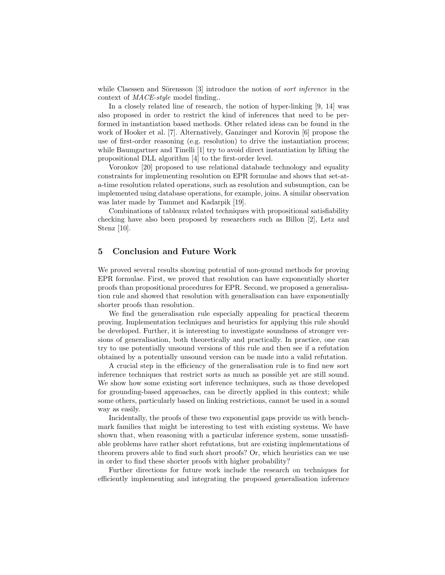while Claessen and Sörensson  $[3]$  introduce the notion of *sort inference* in the context of MACE-style model finding..

In a closely related line of research, the notion of hyper-linking [9, 14] was also proposed in order to restrict the kind of inferences that need to be performed in instantiation based methods. Other related ideas can be found in the work of Hooker et al. [7]. Alternatively, Ganzinger and Korovin [6] propose the use of first-order reasoning (e.g. resolution) to drive the instantiation process; while Baumgartner and Tinelli [1] try to avoid direct instantiation by lifting the propositional DLL algorithm [4] to the first-order level.

Voronkov [20] proposed to use relational databade technology and equality constraints for implementing resolution on EPR formulae and shows that set-ata-time resolution related operations, such as resolution and subsumption, can be implemented using database operations, for example, joins. A similar observation was later made by Tammet and Kadarpik [19].

Combinations of tableaux related techniques with propositional satisfiability checking have also been proposed by researchers such as Billon [2], Letz and Stenz [10].

## 5 Conclusion and Future Work

We proved several results showing potential of non-ground methods for proving EPR formulae. First, we proved that resolution can have exponentially shorter proofs than propositional procedures for EPR. Second, we proposed a generalisation rule and showed that resolution with generalisation can have exponentially shorter proofs than resolution.

We find the generalisation rule especially appealing for practical theorem proving. Implementation techniques and heuristics for applying this rule should be developed. Further, it is interesting to investigate soundness of stronger versions of generalisation, both theoretically and practically. In practice, one can try to use potentially unsound versions of this rule and then see if a refutation obtained by a potentially unsound version can be made into a valid refutation.

A crucial step in the efficiency of the generalisation rule is to find new sort inference techniques that restrict sorts as much as possible yet are still sound. We show how some existing sort inference techniques, such as those developed for grounding-based approaches, can be directly applied in this context; while some others, particularly based on linking restrictions, cannot be used in a sound way as easily.

Incidentally, the proofs of these two exponential gaps provide us with benchmark families that might be interesting to test with existing systems. We have shown that, when reasoning with a particular inference system, some unsatisfiable problems have rather short refutations, but are existing implementations of theorem provers able to find such short proofs? Or, which heuristics can we use in order to find these shorter proofs with higher probability?

Further directions for future work include the research on techniques for efficiently implementing and integrating the proposed generalisation inference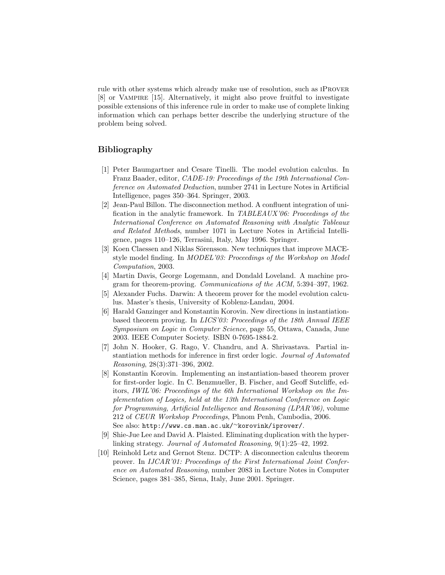rule with other systems which already make use of resolution, such as iProver [8] or Vampire [15]. Alternatively, it might also prove fruitful to investigate possible extensions of this inference rule in order to make use of complete linking information which can perhaps better describe the underlying structure of the problem being solved.

## Bibliography

- [1] Peter Baumgartner and Cesare Tinelli. The model evolution calculus. In Franz Baader, editor, CADE-19: Proceedings of the 19th International Conference on Automated Deduction, number 2741 in Lecture Notes in Artificial Intelligence, pages 350–364. Springer, 2003.
- [2] Jean-Paul Billon. The disconnection method. A confluent integration of unification in the analytic framework. In TABLEAUX'06: Proceedings of the International Conference on Automated Reasoning with Analytic Tableaux and Related Methods, number 1071 in Lecture Notes in Artificial Intelligence, pages 110–126, Terrasini, Italy, May 1996. Springer.
- [3] Koen Claessen and Niklas Sörensson. New techniques that improve MACEstyle model finding. In MODEL'03: Proceedings of the Workshop on Model Computation, 2003.
- [4] Martin Davis, George Logemann, and Dondald Loveland. A machine program for theorem-proving. Communications of the ACM, 5:394–397, 1962.
- [5] Alexander Fuchs. Darwin: A theorem prover for the model evolution calculus. Master's thesis, University of Koblenz-Landau, 2004.
- [6] Harald Ganzinger and Konstantin Korovin. New directions in instantiationbased theorem proving. In *LICS'03: Proceedings of the 18th Annual IEEE* Symposium on Logic in Computer Science, page 55, Ottawa, Canada, June 2003. IEEE Computer Society. ISBN 0-7695-1884-2.
- [7] John N. Hooker, G. Rago, V. Chandru, and A. Shrivastava. Partial instantiation methods for inference in first order logic. Journal of Automated Reasoning, 28(3):371–396, 2002.
- [8] Konstantin Korovin. Implementing an instantiation-based theorem prover for first-order logic. In C. Benzmueller, B. Fischer, and Geoff Sutcliffe, editors, IWIL'06: Proceedings of the 6th International Workshop on the Implementation of Logics, held at the 13th International Conference on Logic for Programming, Artificial Intelligence and Reasoning (LPAR'06), volume 212 of CEUR Workshop Proceedings, Phnom Penh, Cambodia, 2006. See also: http://www.cs.man.ac.uk/<sup>∼</sup>korovink/iprover/.
- [9] Shie-Jue Lee and David A. Plaisted. Eliminating duplication with the hyperlinking strategy. Journal of Automated Reasoning, 9(1):25–42, 1992.
- [10] Reinhold Letz and Gernot Stenz. DCTP: A disconnection calculus theorem prover. In IJCAR'01: Proceedings of the First International Joint Conference on Automated Reasoning, number 2083 in Lecture Notes in Computer Science, pages 381–385, Siena, Italy, June 2001. Springer.